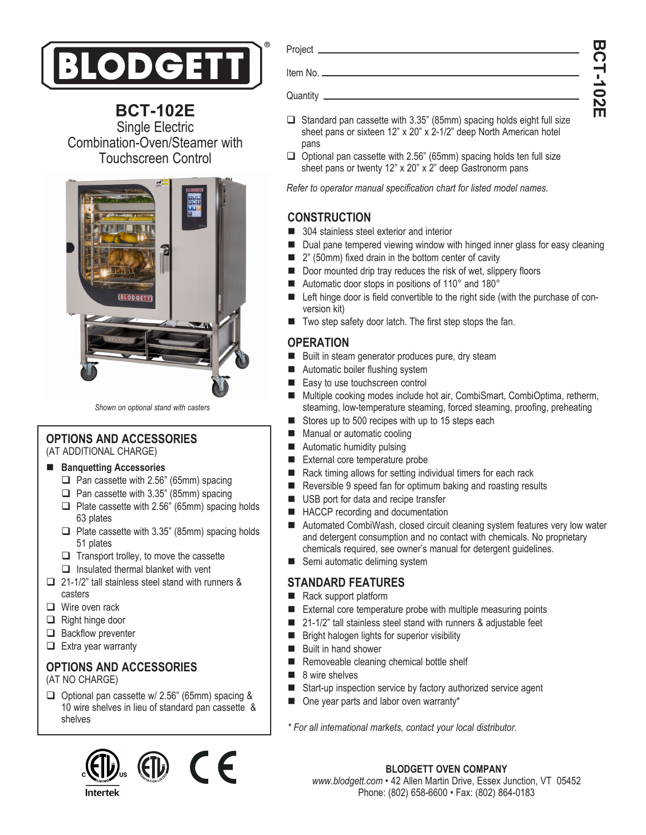

**BCT-102E** Single Electric Combination-Oven/Steamer with Touchscreen Control



*Shown on optional stand with casters*

#### **OPTIONS AND ACCESSORIES**  (AT ADDITIONAL CHARGE)

#### ■ Banquetting Accessories

- $\Box$  Pan cassette with 2.56" (65mm) spacing
- $\Box$  Pan cassette with 3.35" (85mm) spacing
- $\Box$  Plate cassette with 2.56" (65mm) spacing holds 63 plates
- $\Box$  Plate cassette with 3.35" (85mm) spacing holds 51 plates
- $\Box$  Transport trolley, to move the cassette
- $\Box$  Insulated thermal blanket with vent
- $\Box$  21-1/2" tall stainless steel stand with runners & casters
- $\Box$  Wire oven rack
- $\Box$  Right hinge door
- $\Box$  Backflow preventer
- $\Box$  Extra year warranty

# **OPTIONS AND ACCESSORIES**

(AT NO CHARGE)

 $\Box$  Optional pan cassette w/ 2.56" (65mm) spacing & 10 wire shelves in lieu of standard pan cassette & shelves



Project

Item No.

Quantity

- $\Box$  Standard pan cassette with 3.35" (85mm) spacing holds eight full size sheet pans or sixteen 12" x 20" x 2-1/2" deep North American hotel pans
- $\Box$  Optional pan cassette with 2.56" (65mm) spacing holds ten full size sheet pans or twenty 12" x 20" x 2" deep Gastronorm pans

*Refer to operator manual specification chart for listed model names.*

## **CONSTRUCTION**

- 304 stainless steel exterior and interior
- Dual pane tempered viewing window with hinged inner glass for easy cleaning
- 2" (50mm) fixed drain in the bottom center of cavity
- Door mounted drip tray reduces the risk of wet, slippery floors
- Automatic door stops in positions of 110° and 180°
- Left hinge door is field convertible to the right side (with the purchase of conversion kit)
- Two step safety door latch. The first step stops the fan.

## **OPERATION**

- Built in steam generator produces pure, dry steam
- Automatic boiler flushing system
- Easy to use touchscreen control
- Multiple cooking modes include hot air, CombiSmart, CombiOptima, retherm, steaming, low-temperature steaming, forced steaming, proofing, preheating
- Stores up to 500 recipes with up to 15 steps each
- **Manual or automatic cooling**
- **Automatic humidity pulsing**
- External core temperature probe
- Rack timing allows for setting individual timers for each rack
- Reversible 9 speed fan for optimum baking and roasting results
- USB port for data and recipe transfer
- HACCP recording and documentation
- Automated CombiWash, closed circuit cleaning system features very low water and detergent consumption and no contact with chemicals. No proprietary chemicals required, see owner's manual for detergent guidelines.
- Semi automatic deliming system

## **STANDARD FEATURES**

- Rack support platform
- External core temperature probe with multiple measuring points
- 21-1/2" tall stainless steel stand with runners & adjustable feet
- **Bright halogen lights for superior visibility**
- **Built in hand shower**
- Removeable cleaning chemical bottle shelf
- $\blacksquare$  8 wire shelves
- Start-up inspection service by factory authorized service agent
- One year parts and labor oven warranty\*

*\* For all international markets, contact your local distributor.*

**BLODGETT OVEN COMPANY** *www.blodgett.com* • 42 Allen Martin Drive, Essex Junction, VT 05452 Phone: (802) 658-6600 • Fax: (802) 864-0183